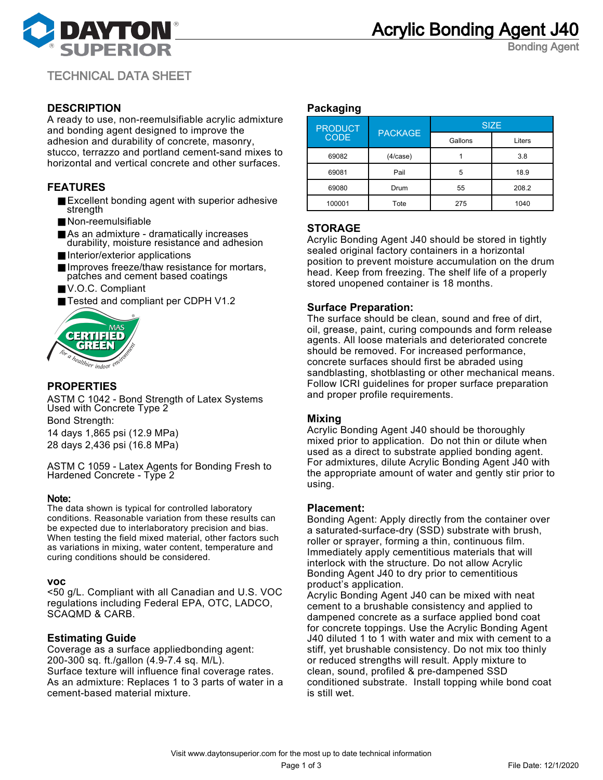

Bonding Agent

TECHNICAL DATA SHEET

# **DESCRIPTION**

A ready to use, non-reemulsifiable acrylic admixture and bonding agent designed to improve the adhesion and durability of concrete, masonry, stucco, terrazzo and portland cement-sand mixes to horizontal and vertical concrete and other surfaces.

# **FEATURES**

- Excellent bonding agent with superior adhesive strength
- Non-reemulsifiable
- As an admixture dramatically increases durability, moisture resistance and adhesion
- Interior/exterior applications
- Improves freeze/thaw resistance for mortars, patches and cement based coatings
- V.O.C. Compliant
- Tested and compliant per CDPH V1.2



# **PROPERTIES**

ASTM C 1042 - Bond Strength of Latex Systems Used with Concrete Type 2

Bond Strength:

14 days 1,865 psi (12.9 MPa) 28 days 2,436 psi (16.8 MPa)

ASTM C 1059 - Latex Agents for Bonding Fresh to Hardened Concrete - Type 2

#### Note:

The data shown is typical for controlled laboratory conditions. Reasonable variation from these results can be expected due to interlaboratory precision and bias. When testing the field mixed material, other factors such as variations in mixing, water content, temperature and curing conditions should be considered.

#### **voc**

<50 g/L. Compliant with all Canadian and U.S. VOC regulations including Federal EPA, OTC, LADCO, SCAQMD & CARB.

## **Estimating Guide**

Coverage as a surface appliedbonding agent: 200-300 sq. ft./gallon (4.9-7.4 sq. M/L). Surface texture will influence final coverage rates. As an admixture: Replaces 1 to 3 parts of water in a cement-based material mixture.

## **Packaging**

| <b>PRODUCT</b><br><b>CODE</b> | <b>PACKAGE</b> | <b>SIZE</b> |        |
|-------------------------------|----------------|-------------|--------|
|                               |                | Gallons     | Liters |
| 69082                         | (4/case)       |             | 3.8    |
| 69081                         | Pail           | 5           | 18.9   |
| 69080                         | Drum           | 55          | 208.2  |
| 100001                        | Tote           | 275         | 1040   |

# **STORAGE**

Acrylic Bonding Agent J40 should be stored in tightly sealed original factory containers in a horizontal position to prevent moisture accumulation on the drum head. Keep from freezing. The shelf life of a properly stored unopened container is 18 months.

## **Surface Preparation:**

The surface should be clean, sound and free of dirt, oil, grease, paint, curing compounds and form release agents. All loose materials and deteriorated concrete should be removed. For increased performance, concrete surfaces should first be abraded using sandblasting, shotblasting or other mechanical means. Follow ICRI guidelines for proper surface preparation and proper profile requirements.

## **Mixing**

Acrylic Bonding Agent J40 should be thoroughly mixed prior to application. Do not thin or dilute when used as a direct to substrate applied bonding agent. For admixtures, dilute Acrylic Bonding Agent J40 with the appropriate amount of water and gently stir prior to using.

#### **Placement:**

Bonding Agent: Apply directly from the container over a saturated-surface-dry (SSD) substrate with brush, roller or sprayer, forming a thin, continuous film. Immediately apply cementitious materials that will interlock with the structure. Do not allow Acrylic Bonding Agent J40 to dry prior to cementitious product's application.

Acrylic Bonding Agent J40 can be mixed with neat cement to a brushable consistency and applied to dampened concrete as a surface applied bond coat for concrete toppings. Use the Acrylic Bonding Agent J40 diluted 1 to 1 with water and mix with cement to a stiff, yet brushable consistency. Do not mix too thinly or reduced strengths will result. Apply mixture to clean, sound, profiled & pre-dampened SSD conditioned substrate. Install topping while bond coat is still wet.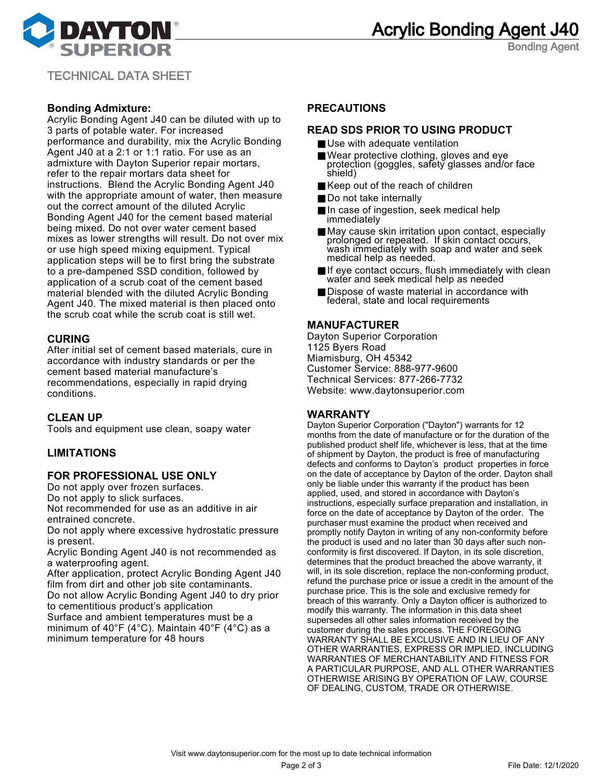

Bonding Agent

TECHNICAL DATA SHEET

## **Bonding Admixture:**

Acrylic Bonding Agent J40 can be diluted with up to 3 parts of potable water. For increased performance and durability, mix the Acrylic Bonding Agent J40 at a 2:1 or 1:1 ratio. For use as an admixture with Dayton Superior repair mortars, refer to the repair mortars data sheet for instructions. Blend the Acrylic Bonding Agent J40 with the appropriate amount of water, then measure out the correct amount of the diluted Acrylic Bonding Agent J40 for the cement based material being mixed. Do not over water cement based mixes as lower strengths will result. Do not over mix or use high speed mixing equipment. Typical application steps will be to first bring the substrate to a pre-dampened SSD condition, followed by application of a scrub coat of the cement based material blended with the diluted Acrylic Bonding Agent J40. The mixed material is then placed onto the scrub coat while the scrub coat is still wet.

# **CURING**

After initial set of cement based materials, cure in accordance with industry standards or per the cement based material manufacture's recommendations, especially in rapid drying conditions.

# **CLEAN UP**

Tools and equipment use clean, soapy water

## **LIMITATIONS**

## **FOR PROFESSIONAL USE ONLY**

Do not apply over frozen surfaces.

Do not apply to slick surfaces.

Not recommended for use as an additive in air entrained concrete.

Do not apply where excessive hydrostatic pressure is present.

Acrylic Bonding Agent J40 is not recommended as a waterproofing agent.

After application, protect Acrylic Bonding Agent J40 film from dirt and other job site contaminants.

Do not allow Acrylic Bonding Agent J40 to dry prior to cementitious product's application

Surface and ambient temperatures must be a minimum of 40°F (4°C). Maintain 40°F (4°C) as a minimum temperature for 48 hours

## **PRECAUTIONS**

#### **READ SDS PRIOR TO USING PRODUCT**

- Use with adequate ventilation
- Wear protective clothing, gloves and eye protection (goggles, safety glasses and/or face shield)
- Keep out of the reach of children
- Do not take internally
- In case of ingestion, seek medical help immediately
- May cause skin irritation upon contact, especially prolonged or repeated. If skin contact occurs, wash immediately with soap and water and seek medical help as needed.
- If eye contact occurs, flush immediately with clean water and seek medical help as needed
- Dispose of waste material in accordance with federal, state and local requirements

## **MANUFACTURER**

Dayton Superior Corporation 1125 Byers Road Miamisburg, OH 45342 Customer Service: 888-977-9600 Technical Services: 877-266-7732 Website: www.daytonsuperior.com

# **WARRANTY**

Dayton Superior Corporation ("Dayton") warrants for 12 months from the date of manufacture or for the duration of the published product shelf life, whichever is less, that at the time of shipment by Dayton, the product is free of manufacturing defects and conforms to Dayton's product properties in force on the date of acceptance by Dayton of the order. Dayton shall only be liable under this warranty if the product has been applied, used, and stored in accordance with Dayton's instructions, especially surface preparation and installation, in force on the date of acceptance by Dayton of the order. The purchaser must examine the product when received and promptly notify Dayton in writing of any non-conformity before the product is used and no later than 30 days after such nonconformity is first discovered. If Dayton, in its sole discretion, determines that the product breached the above warranty, it will, in its sole discretion, replace the non-conforming product, refund the purchase price or issue a credit in the amount of the purchase price. This is the sole and exclusive remedy for breach of this warranty. Only a Dayton officer is authorized to modify this warranty. The information in this data sheet supersedes all other sales information received by the customer during the sales process. THE FOREGOING WARRANTY SHALL BE EXCLUSIVE AND IN LIEU OF ANY OTHER WARRANTIES, EXPRESS OR IMPLIED, INCLUDING WARRANTIES OF MERCHANTABILITY AND FITNESS FOR A PARTICULAR PURPOSE, AND ALL OTHER WARRANTIES OTHERWISE ARISING BY OPERATION OF LAW, COURSE OF DEALING, CUSTOM, TRADE OR OTHERWISE.